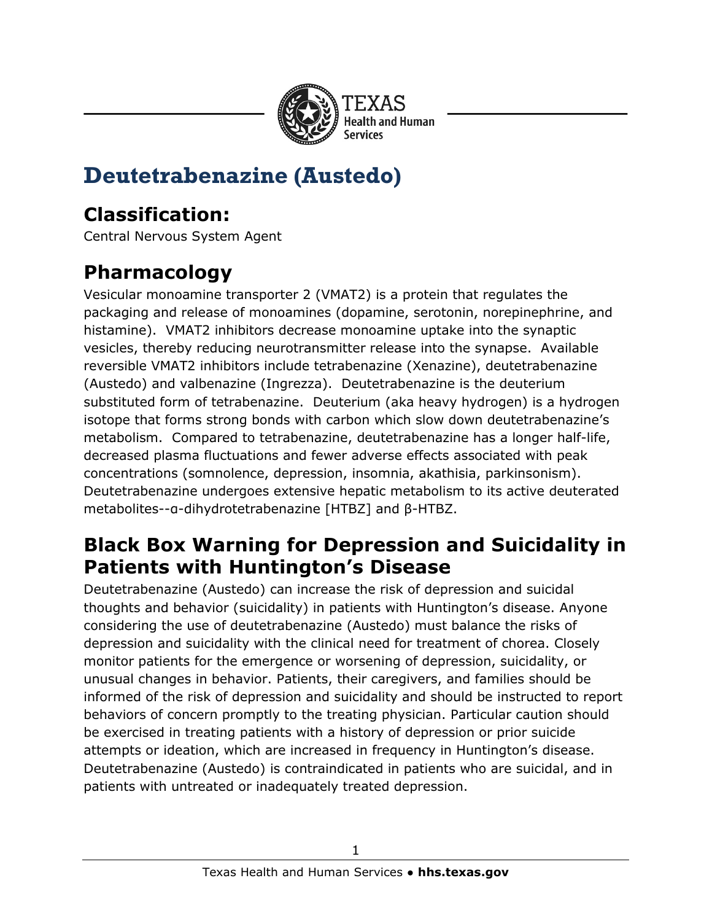

# **Deutetrabenazine (Austedo)**

## **Classification:**

Central Nervous System Agent

# **Pharmacology**

Vesicular monoamine transporter 2 (VMAT2) is a protein that regulates the packaging and release of monoamines (dopamine, serotonin, norepinephrine, and histamine). VMAT2 inhibitors decrease monoamine uptake into the synaptic vesicles, thereby reducing neurotransmitter release into the synapse. Available reversible VMAT2 inhibitors include tetrabenazine (Xenazine), deutetrabenazine (Austedo) and valbenazine (Ingrezza). Deutetrabenazine is the deuterium substituted form of tetrabenazine. Deuterium (aka heavy hydrogen) is a hydrogen isotope that forms strong bonds with carbon which slow down deutetrabenazine's metabolism. Compared to tetrabenazine, deutetrabenazine has a longer half-life, decreased plasma fluctuations and fewer adverse effects associated with peak concentrations (somnolence, depression, insomnia, akathisia, parkinsonism). Deutetrabenazine undergoes extensive hepatic metabolism to its active deuterated metabolites--α-dihydrotetrabenazine [HTBZ] and β-HTBZ.

### **Black Box Warning for Depression and Suicidality in Patients with Huntington's Disease**

Deutetrabenazine (Austedo) can increase the risk of depression and suicidal thoughts and behavior (suicidality) in patients with Huntington's disease. Anyone considering the use of deutetrabenazine (Austedo) must balance the risks of depression and suicidality with the clinical need for treatment of chorea. Closely monitor patients for the emergence or worsening of depression, suicidality, or unusual changes in behavior. Patients, their caregivers, and families should be informed of the risk of depression and suicidality and should be instructed to report behaviors of concern promptly to the treating physician. Particular caution should be exercised in treating patients with a history of depression or prior suicide attempts or ideation, which are increased in frequency in Huntington's disease. Deutetrabenazine (Austedo) is contraindicated in patients who are suicidal, and in patients with untreated or inadequately treated depression.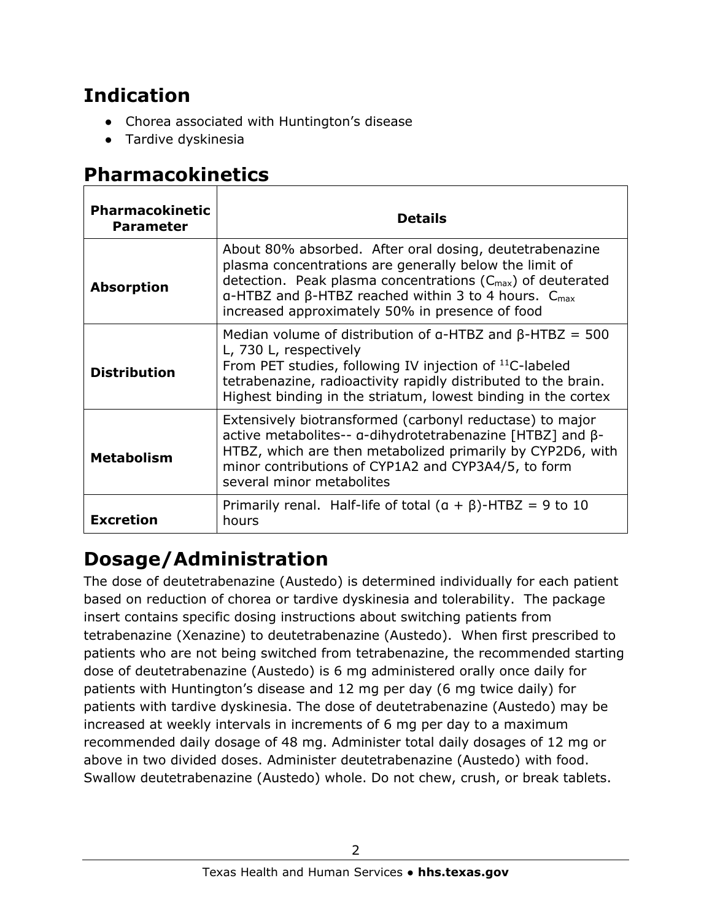## **Indication**

- Chorea associated with Huntington's disease
- Tardive dyskinesia

## **Pharmacokinetics**

| <b>Pharmacokinetic</b><br><b>Parameter</b> | <b>Details</b>                                                                                                                                                                                                                                                                                                |  |  |
|--------------------------------------------|---------------------------------------------------------------------------------------------------------------------------------------------------------------------------------------------------------------------------------------------------------------------------------------------------------------|--|--|
| <b>Absorption</b>                          | About 80% absorbed. After oral dosing, deutetrabenazine<br>plasma concentrations are generally below the limit of<br>detection. Peak plasma concentrations $(C_{max})$ of deuterated<br>$a$ -HTBZ and β-HTBZ reached within 3 to 4 hours. $C_{\text{max}}$<br>increased approximately 50% in presence of food |  |  |
| <b>Distribution</b>                        | Median volume of distribution of $a$ -HTBZ and $\beta$ -HTBZ = 500<br>L, 730 L, respectively<br>From PET studies, following IV injection of <sup>11</sup> C-labeled<br>tetrabenazine, radioactivity rapidly distributed to the brain.<br>Highest binding in the striatum, lowest binding in the cortex        |  |  |
| <b>Metabolism</b>                          | Extensively biotransformed (carbonyl reductase) to major<br>active metabolites-- a-dihydrotetrabenazine [HTBZ] and $\beta$ -<br>HTBZ, which are then metabolized primarily by CYP2D6, with<br>minor contributions of CYP1A2 and CYP3A4/5, to form<br>several minor metabolites                                |  |  |
| <b>Excretion</b>                           | Primarily renal. Half-life of total $(a + \beta)$ -HTBZ = 9 to 10<br>hours                                                                                                                                                                                                                                    |  |  |

# **Dosage/Administration**

The dose of deutetrabenazine (Austedo) is determined individually for each patient based on reduction of chorea or tardive dyskinesia and tolerability. The package insert contains specific dosing instructions about switching patients from tetrabenazine (Xenazine) to deutetrabenazine (Austedo). When first prescribed to patients who are not being switched from tetrabenazine, the recommended starting dose of deutetrabenazine (Austedo) is 6 mg administered orally once daily for patients with Huntington's disease and 12 mg per day (6 mg twice daily) for patients with tardive dyskinesia. The dose of deutetrabenazine (Austedo) may be increased at weekly intervals in increments of 6 mg per day to a maximum recommended daily dosage of 48 mg. Administer total daily dosages of 12 mg or above in two divided doses. Administer deutetrabenazine (Austedo) with food. Swallow deutetrabenazine (Austedo) whole. Do not chew, crush, or break tablets.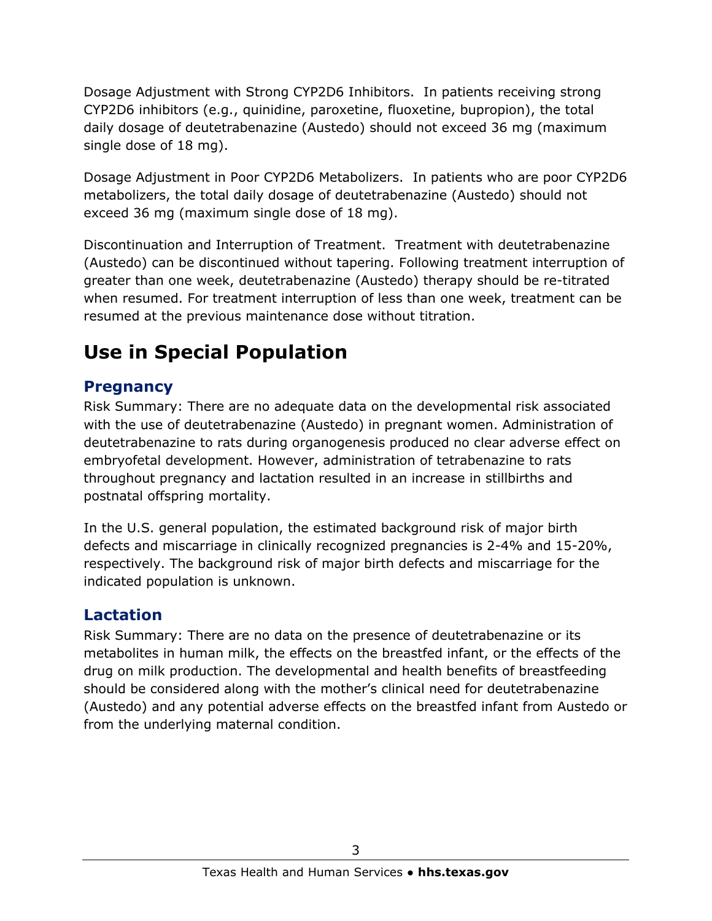Dosage Adjustment with Strong CYP2D6 Inhibitors. In patients receiving strong CYP2D6 inhibitors (e.g., quinidine, paroxetine, fluoxetine, bupropion), the total daily dosage of deutetrabenazine (Austedo) should not exceed 36 mg (maximum single dose of 18 mg).

Dosage Adjustment in Poor CYP2D6 Metabolizers. In patients who are poor CYP2D6 metabolizers, the total daily dosage of deutetrabenazine (Austedo) should not exceed 36 mg (maximum single dose of 18 mg).

Discontinuation and Interruption of Treatment. Treatment with deutetrabenazine (Austedo) can be discontinued without tapering. Following treatment interruption of greater than one week, deutetrabenazine (Austedo) therapy should be re-titrated when resumed. For treatment interruption of less than one week, treatment can be resumed at the previous maintenance dose without titration.

# **Use in Special Population**

### **Pregnancy**

Risk Summary: There are no adequate data on the developmental risk associated with the use of deutetrabenazine (Austedo) in pregnant women. Administration of deutetrabenazine to rats during organogenesis produced no clear adverse effect on embryofetal development. However, administration of tetrabenazine to rats throughout pregnancy and lactation resulted in an increase in stillbirths and postnatal offspring mortality.

In the U.S. general population, the estimated background risk of major birth defects and miscarriage in clinically recognized pregnancies is 2-4% and 15-20%, respectively. The background risk of major birth defects and miscarriage for the indicated population is unknown.

### **Lactation**

Risk Summary: There are no data on the presence of deutetrabenazine or its metabolites in human milk, the effects on the breastfed infant, or the effects of the drug on milk production. The developmental and health benefits of breastfeeding should be considered along with the mother's clinical need for deutetrabenazine (Austedo) and any potential adverse effects on the breastfed infant from Austedo or from the underlying maternal condition.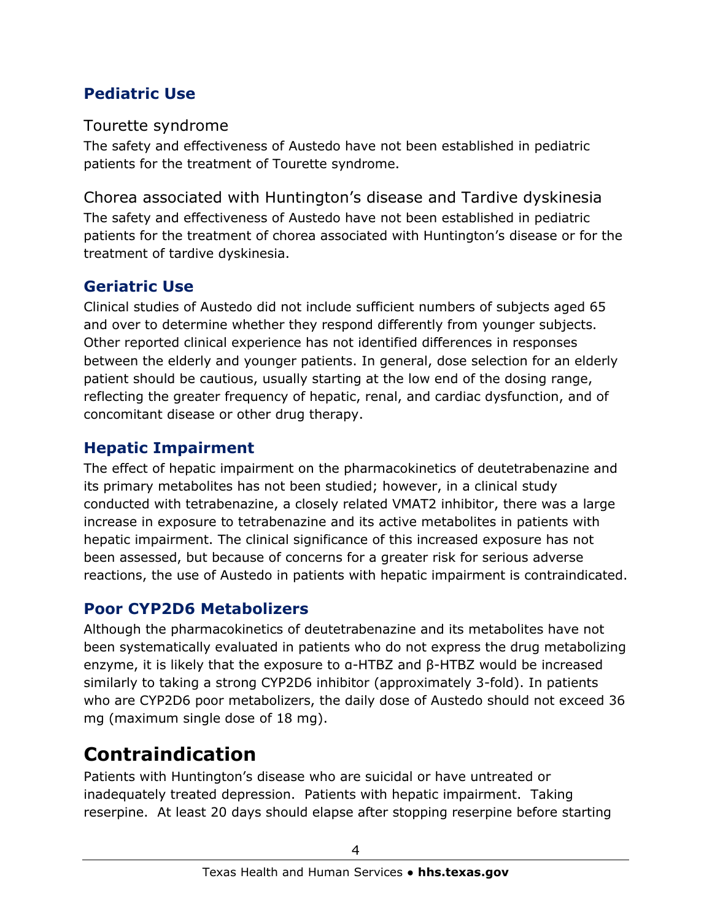### **Pediatric Use**

Tourette syndrome

The safety and effectiveness of Austedo have not been established in pediatric patients for the treatment of Tourette syndrome.

Chorea associated with Huntington's disease and Tardive dyskinesia The safety and effectiveness of Austedo have not been established in pediatric patients for the treatment of chorea associated with Huntington's disease or for the treatment of tardive dyskinesia.

### **Geriatric Use**

Clinical studies of Austedo did not include sufficient numbers of subjects aged 65 and over to determine whether they respond differently from younger subjects. Other reported clinical experience has not identified differences in responses between the elderly and younger patients. In general, dose selection for an elderly patient should be cautious, usually starting at the low end of the dosing range, reflecting the greater frequency of hepatic, renal, and cardiac dysfunction, and of concomitant disease or other drug therapy.

### **Hepatic Impairment**

The effect of hepatic impairment on the pharmacokinetics of deutetrabenazine and its primary metabolites has not been studied; however, in a clinical study conducted with tetrabenazine, a closely related VMAT2 inhibitor, there was a large increase in exposure to tetrabenazine and its active metabolites in patients with hepatic impairment. The clinical significance of this increased exposure has not been assessed, but because of concerns for a greater risk for serious adverse reactions, the use of Austedo in patients with hepatic impairment is contraindicated.

### **Poor CYP2D6 Metabolizers**

Although the pharmacokinetics of deutetrabenazine and its metabolites have not been systematically evaluated in patients who do not express the drug metabolizing enzyme, it is likely that the exposure to α-HTBZ and β-HTBZ would be increased similarly to taking a strong CYP2D6 inhibitor (approximately 3-fold). In patients who are CYP2D6 poor metabolizers, the daily dose of Austedo should not exceed 36 mg (maximum single dose of 18 mg).

# **Contraindication**

Patients with Huntington's disease who are suicidal or have untreated or inadequately treated depression. Patients with hepatic impairment. Taking reserpine. At least 20 days should elapse after stopping reserpine before starting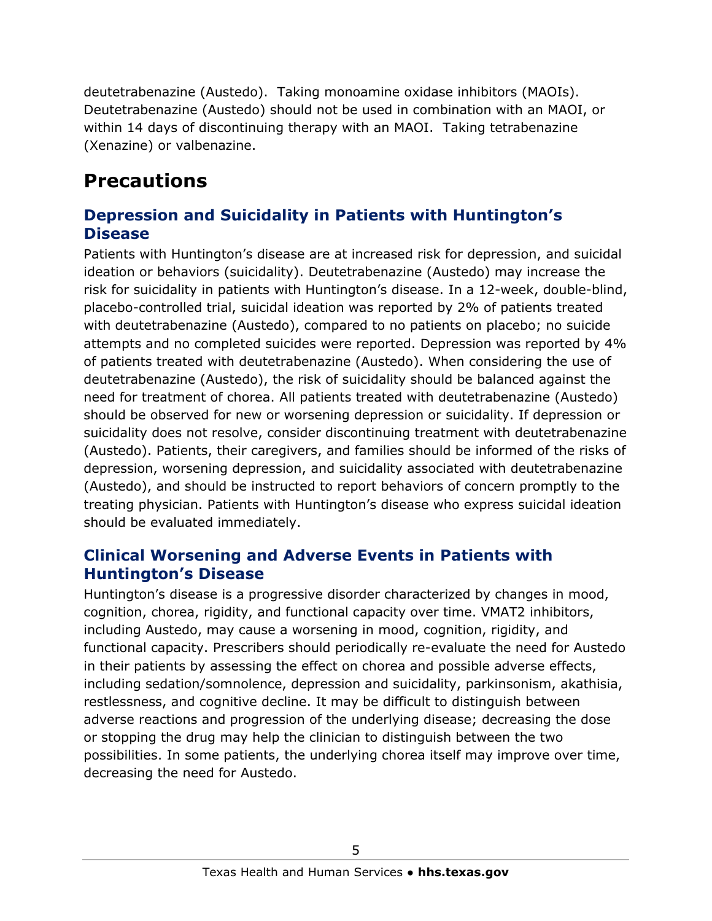deutetrabenazine (Austedo). Taking monoamine oxidase inhibitors (MAOIs). Deutetrabenazine (Austedo) should not be used in combination with an MAOI, or within 14 days of discontinuing therapy with an MAOI. Taking tetrabenazine (Xenazine) or valbenazine.

# **Precautions**

#### **Depression and Suicidality in Patients with Huntington's Disease**

Patients with Huntington's disease are at increased risk for depression, and suicidal ideation or behaviors (suicidality). Deutetrabenazine (Austedo) may increase the risk for suicidality in patients with Huntington's disease. In a 12-week, double-blind, placebo-controlled trial, suicidal ideation was reported by 2% of patients treated with deutetrabenazine (Austedo), compared to no patients on placebo; no suicide attempts and no completed suicides were reported. Depression was reported by 4% of patients treated with deutetrabenazine (Austedo). When considering the use of deutetrabenazine (Austedo), the risk of suicidality should be balanced against the need for treatment of chorea. All patients treated with deutetrabenazine (Austedo) should be observed for new or worsening depression or suicidality. If depression or suicidality does not resolve, consider discontinuing treatment with deutetrabenazine (Austedo). Patients, their caregivers, and families should be informed of the risks of depression, worsening depression, and suicidality associated with deutetrabenazine (Austedo), and should be instructed to report behaviors of concern promptly to the treating physician. Patients with Huntington's disease who express suicidal ideation should be evaluated immediately.

#### **Clinical Worsening and Adverse Events in Patients with Huntington's Disease**

Huntington's disease is a progressive disorder characterized by changes in mood, cognition, chorea, rigidity, and functional capacity over time. VMAT2 inhibitors, including Austedo, may cause a worsening in mood, cognition, rigidity, and functional capacity. Prescribers should periodically re-evaluate the need for Austedo in their patients by assessing the effect on chorea and possible adverse effects, including sedation/somnolence, depression and suicidality, parkinsonism, akathisia, restlessness, and cognitive decline. It may be difficult to distinguish between adverse reactions and progression of the underlying disease; decreasing the dose or stopping the drug may help the clinician to distinguish between the two possibilities. In some patients, the underlying chorea itself may improve over time, decreasing the need for Austedo.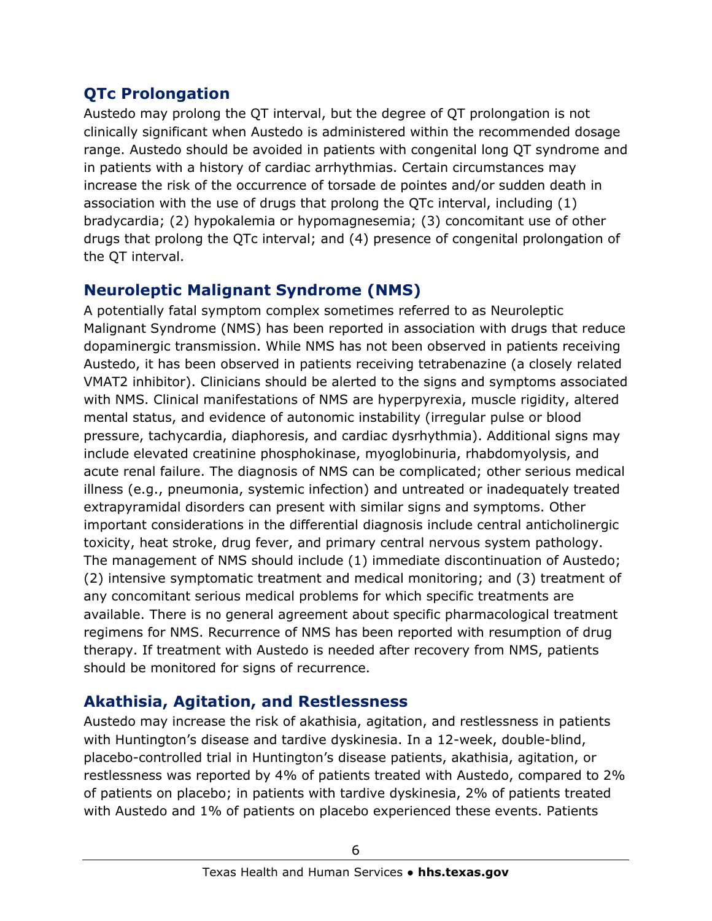### **QTc Prolongation**

Austedo may prolong the QT interval, but the degree of QT prolongation is not clinically significant when Austedo is administered within the recommended dosage range. Austedo should be avoided in patients with congenital long QT syndrome and in patients with a history of cardiac arrhythmias. Certain circumstances may increase the risk of the occurrence of torsade de pointes and/or sudden death in association with the use of drugs that prolong the QTc interval, including (1) bradycardia; (2) hypokalemia or hypomagnesemia; (3) concomitant use of other drugs that prolong the QTc interval; and (4) presence of congenital prolongation of the QT interval.

#### **Neuroleptic Malignant Syndrome (NMS)**

A potentially fatal symptom complex sometimes referred to as Neuroleptic Malignant Syndrome (NMS) has been reported in association with drugs that reduce dopaminergic transmission. While NMS has not been observed in patients receiving Austedo, it has been observed in patients receiving tetrabenazine (a closely related VMAT2 inhibitor). Clinicians should be alerted to the signs and symptoms associated with NMS. Clinical manifestations of NMS are hyperpyrexia, muscle rigidity, altered mental status, and evidence of autonomic instability (irregular pulse or blood pressure, tachycardia, diaphoresis, and cardiac dysrhythmia). Additional signs may include elevated creatinine phosphokinase, myoglobinuria, rhabdomyolysis, and acute renal failure. The diagnosis of NMS can be complicated; other serious medical illness (e.g., pneumonia, systemic infection) and untreated or inadequately treated extrapyramidal disorders can present with similar signs and symptoms. Other important considerations in the differential diagnosis include central anticholinergic toxicity, heat stroke, drug fever, and primary central nervous system pathology. The management of NMS should include (1) immediate discontinuation of Austedo; (2) intensive symptomatic treatment and medical monitoring; and (3) treatment of any concomitant serious medical problems for which specific treatments are available. There is no general agreement about specific pharmacological treatment regimens for NMS. Recurrence of NMS has been reported with resumption of drug therapy. If treatment with Austedo is needed after recovery from NMS, patients should be monitored for signs of recurrence.

### **Akathisia, Agitation, and Restlessness**

Austedo may increase the risk of akathisia, agitation, and restlessness in patients with Huntington's disease and tardive dyskinesia. In a 12-week, double-blind, placebo-controlled trial in Huntington's disease patients, akathisia, agitation, or restlessness was reported by 4% of patients treated with Austedo, compared to 2% of patients on placebo; in patients with tardive dyskinesia, 2% of patients treated with Austedo and 1% of patients on placebo experienced these events. Patients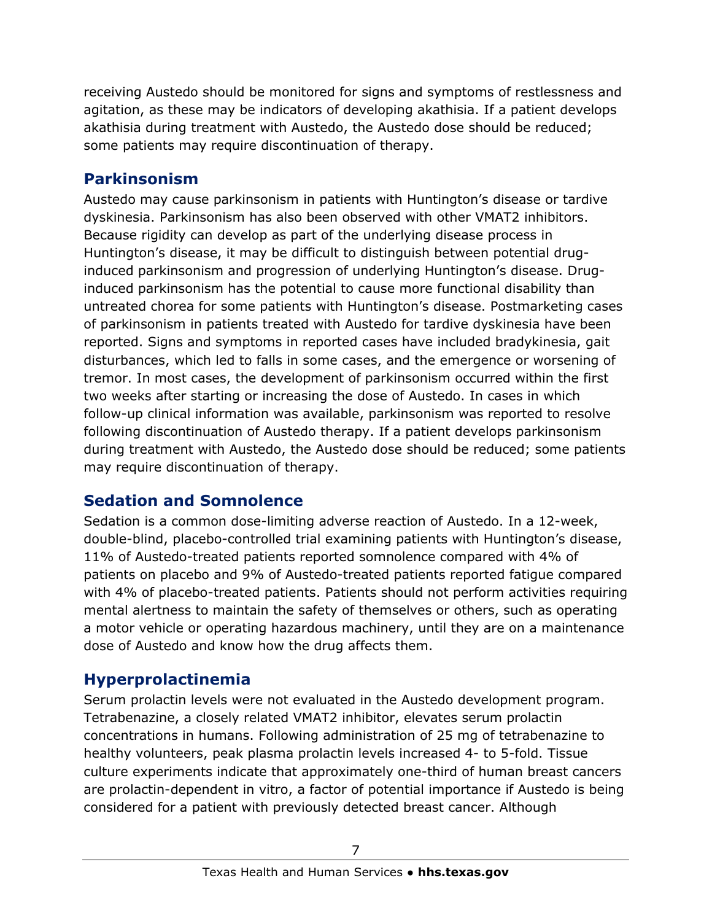receiving Austedo should be monitored for signs and symptoms of restlessness and agitation, as these may be indicators of developing akathisia. If a patient develops akathisia during treatment with Austedo, the Austedo dose should be reduced; some patients may require discontinuation of therapy.

#### **Parkinsonism**

Austedo may cause parkinsonism in patients with Huntington's disease or tardive dyskinesia. Parkinsonism has also been observed with other VMAT2 inhibitors. Because rigidity can develop as part of the underlying disease process in Huntington's disease, it may be difficult to distinguish between potential druginduced parkinsonism and progression of underlying Huntington's disease. Druginduced parkinsonism has the potential to cause more functional disability than untreated chorea for some patients with Huntington's disease. Postmarketing cases of parkinsonism in patients treated with Austedo for tardive dyskinesia have been reported. Signs and symptoms in reported cases have included bradykinesia, gait disturbances, which led to falls in some cases, and the emergence or worsening of tremor. In most cases, the development of parkinsonism occurred within the first two weeks after starting or increasing the dose of Austedo. In cases in which follow-up clinical information was available, parkinsonism was reported to resolve following discontinuation of Austedo therapy. If a patient develops parkinsonism during treatment with Austedo, the Austedo dose should be reduced; some patients may require discontinuation of therapy.

### **Sedation and Somnolence**

Sedation is a common dose-limiting adverse reaction of Austedo. In a 12-week, double-blind, placebo-controlled trial examining patients with Huntington's disease, 11% of Austedo-treated patients reported somnolence compared with 4% of patients on placebo and 9% of Austedo-treated patients reported fatigue compared with 4% of placebo-treated patients. Patients should not perform activities requiring mental alertness to maintain the safety of themselves or others, such as operating a motor vehicle or operating hazardous machinery, until they are on a maintenance dose of Austedo and know how the drug affects them.

### **Hyperprolactinemia**

Serum prolactin levels were not evaluated in the Austedo development program. Tetrabenazine, a closely related VMAT2 inhibitor, elevates serum prolactin concentrations in humans. Following administration of 25 mg of tetrabenazine to healthy volunteers, peak plasma prolactin levels increased 4- to 5-fold. Tissue culture experiments indicate that approximately one-third of human breast cancers are prolactin-dependent in vitro, a factor of potential importance if Austedo is being considered for a patient with previously detected breast cancer. Although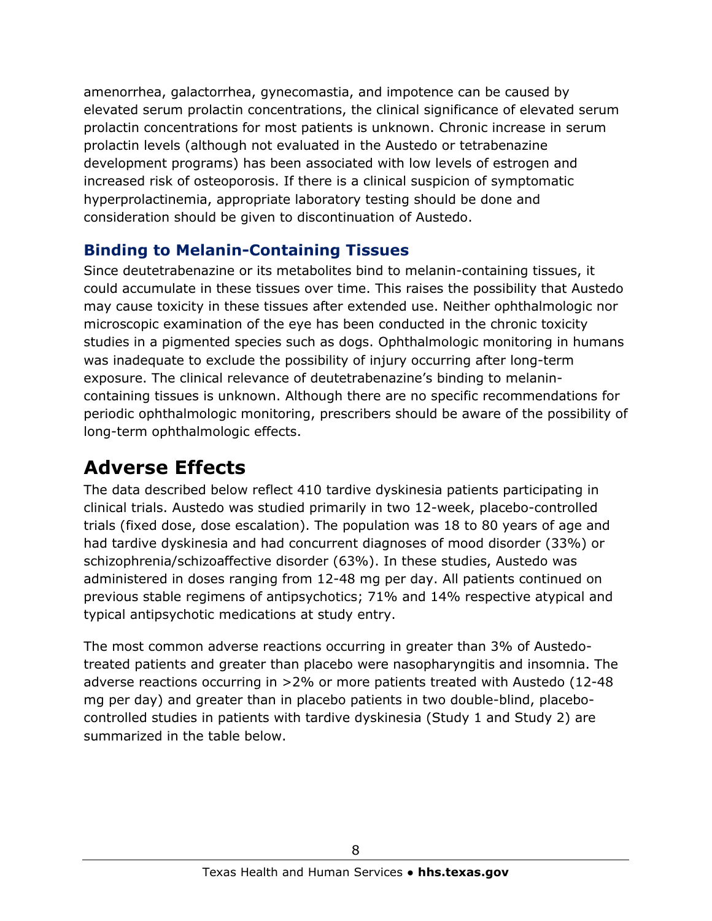amenorrhea, galactorrhea, gynecomastia, and impotence can be caused by elevated serum prolactin concentrations, the clinical significance of elevated serum prolactin concentrations for most patients is unknown. Chronic increase in serum prolactin levels (although not evaluated in the Austedo or tetrabenazine development programs) has been associated with low levels of estrogen and increased risk of osteoporosis. If there is a clinical suspicion of symptomatic hyperprolactinemia, appropriate laboratory testing should be done and consideration should be given to discontinuation of Austedo.

#### **Binding to Melanin-Containing Tissues**

Since deutetrabenazine or its metabolites bind to melanin-containing tissues, it could accumulate in these tissues over time. This raises the possibility that Austedo may cause toxicity in these tissues after extended use. Neither ophthalmologic nor microscopic examination of the eye has been conducted in the chronic toxicity studies in a pigmented species such as dogs. Ophthalmologic monitoring in humans was inadequate to exclude the possibility of injury occurring after long-term exposure. The clinical relevance of deutetrabenazine's binding to melanincontaining tissues is unknown. Although there are no specific recommendations for periodic ophthalmologic monitoring, prescribers should be aware of the possibility of long-term ophthalmologic effects.

### **Adverse Effects**

The data described below reflect 410 tardive dyskinesia patients participating in clinical trials. Austedo was studied primarily in two 12-week, placebo-controlled trials (fixed dose, dose escalation). The population was 18 to 80 years of age and had tardive dyskinesia and had concurrent diagnoses of mood disorder (33%) or schizophrenia/schizoaffective disorder (63%). In these studies, Austedo was administered in doses ranging from 12-48 mg per day. All patients continued on previous stable regimens of antipsychotics; 71% and 14% respective atypical and typical antipsychotic medications at study entry.

The most common adverse reactions occurring in greater than 3% of Austedotreated patients and greater than placebo were nasopharyngitis and insomnia. The adverse reactions occurring in >2% or more patients treated with Austedo (12-48 mg per day) and greater than in placebo patients in two double-blind, placebocontrolled studies in patients with tardive dyskinesia (Study 1 and Study 2) are summarized in the table below.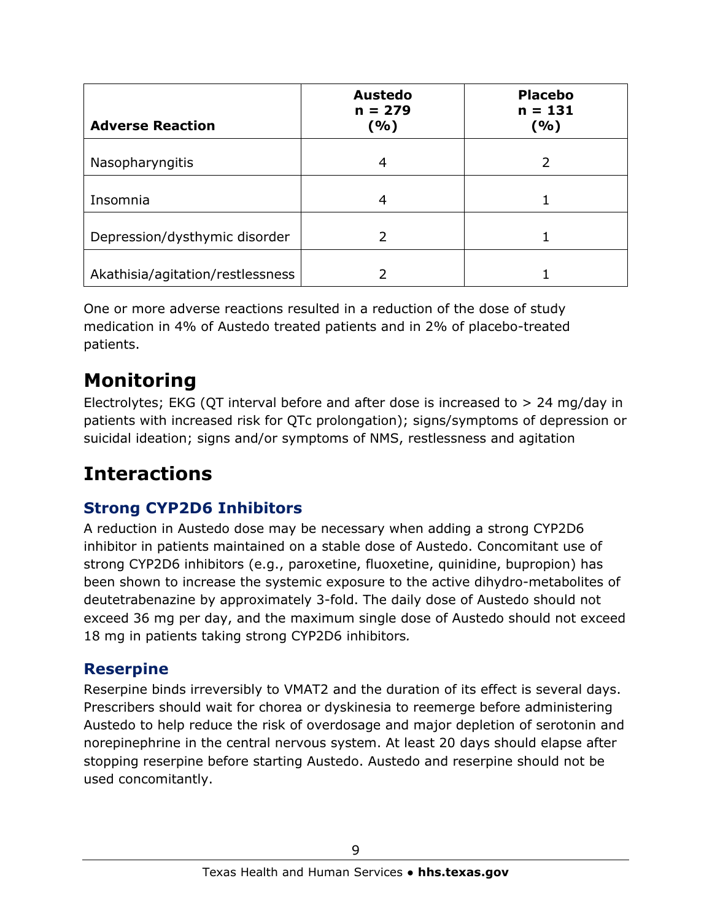| <b>Adverse Reaction</b>          | <b>Austedo</b><br>$n = 279$<br>( %) | <b>Placebo</b><br>$n = 131$<br>(%) |
|----------------------------------|-------------------------------------|------------------------------------|
| Nasopharyngitis                  | 4                                   | 2                                  |
| Insomnia                         | 4                                   |                                    |
| Depression/dysthymic disorder    |                                     |                                    |
| Akathisia/agitation/restlessness |                                     |                                    |

One or more adverse reactions resulted in a reduction of the dose of study medication in 4% of Austedo treated patients and in 2% of placebo-treated patients.

# **Monitoring**

Electrolytes; EKG (QT interval before and after dose is increased to > 24 mg/day in patients with increased risk for QTc prolongation); signs/symptoms of depression or suicidal ideation; signs and/or symptoms of NMS, restlessness and agitation

# **Interactions**

### **Strong CYP2D6 Inhibitors**

A reduction in Austedo dose may be necessary when adding a strong CYP2D6 inhibitor in patients maintained on a stable dose of Austedo. Concomitant use of strong CYP2D6 inhibitors (e.g., paroxetine, fluoxetine, quinidine, bupropion) has been shown to increase the systemic exposure to the active dihydro-metabolites of deutetrabenazine by approximately 3-fold. The daily dose of Austedo should not exceed 36 mg per day, and the maximum single dose of Austedo should not exceed 18 mg in patients taking strong CYP2D6 inhibitors*.*

#### **Reserpine**

Reserpine binds irreversibly to VMAT2 and the duration of its effect is several days. Prescribers should wait for chorea or dyskinesia to reemerge before administering Austedo to help reduce the risk of overdosage and major depletion of serotonin and norepinephrine in the central nervous system. At least 20 days should elapse after stopping reserpine before starting Austedo. Austedo and reserpine should not be used concomitantly.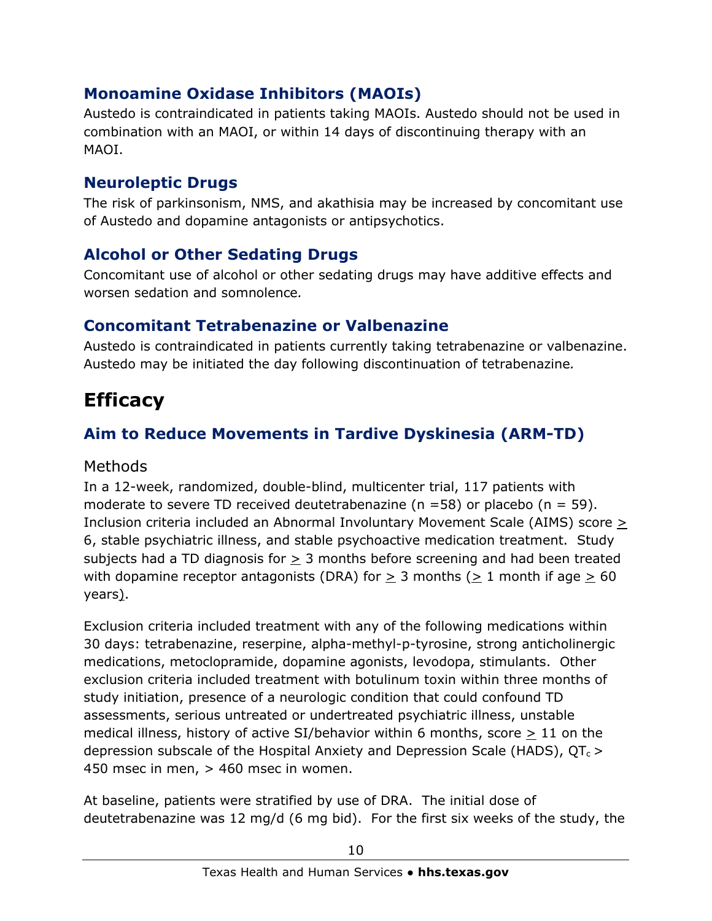### **Monoamine Oxidase Inhibitors (MAOIs)**

Austedo is contraindicated in patients taking MAOIs. Austedo should not be used in combination with an MAOI, or within 14 days of discontinuing therapy with an MAOI.

#### **Neuroleptic Drugs**

The risk of parkinsonism, NMS, and akathisia may be increased by concomitant use of Austedo and dopamine antagonists or antipsychotics.

### **Alcohol or Other Sedating Drugs**

Concomitant use of alcohol or other sedating drugs may have additive effects and worsen sedation and somnolence*.*

#### **Concomitant Tetrabenazine or Valbenazine**

Austedo is contraindicated in patients currently taking tetrabenazine or valbenazine. Austedo may be initiated the day following discontinuation of tetrabenazine*.*

## **Efficacy**

### **Aim to Reduce Movements in Tardive Dyskinesia (ARM-TD)**

#### Methods

In a 12-week, randomized, double-blind, multicenter trial, 117 patients with moderate to severe TD received deutetrabenazine ( $n = 58$ ) or placebo ( $n = 59$ ). Inclusion criteria included an Abnormal Involuntary Movement Scale (AIMS) score  $\geq$ 6, stable psychiatric illness, and stable psychoactive medication treatment. Study subjects had a TD diagnosis for > 3 months before screening and had been treated with dopamine receptor antagonists (DRA) for  $>$  3 months ( $>$  1 month if age  $>$  60 years).

Exclusion criteria included treatment with any of the following medications within 30 days: tetrabenazine, reserpine, alpha-methyl-p-tyrosine, strong anticholinergic medications, metoclopramide, dopamine agonists, levodopa, stimulants. Other exclusion criteria included treatment with botulinum toxin within three months of study initiation, presence of a neurologic condition that could confound TD assessments, serious untreated or undertreated psychiatric illness, unstable medical illness, history of active SI/behavior within 6 months, score  $\geq 11$  on the depression subscale of the Hospital Anxiety and Depression Scale (HADS),  $QT_c >$ 450 msec in men, > 460 msec in women.

At baseline, patients were stratified by use of DRA. The initial dose of deutetrabenazine was 12 mg/d (6 mg bid). For the first six weeks of the study, the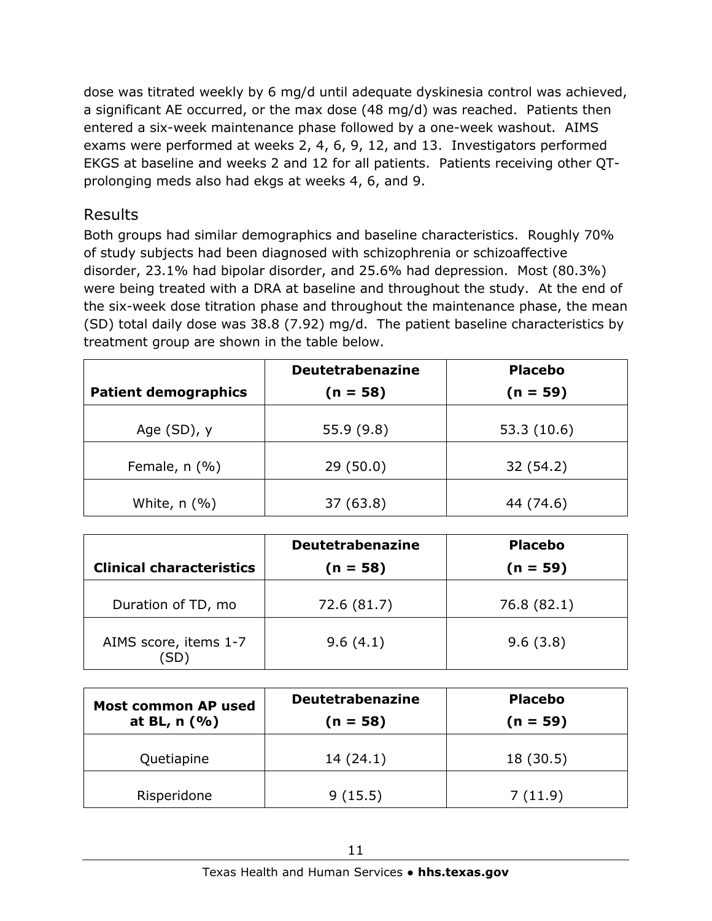dose was titrated weekly by 6 mg/d until adequate dyskinesia control was achieved, a significant AE occurred, or the max dose (48 mg/d) was reached. Patients then entered a six-week maintenance phase followed by a one-week washout. AIMS exams were performed at weeks 2, 4, 6, 9, 12, and 13. Investigators performed EKGS at baseline and weeks 2 and 12 for all patients. Patients receiving other QTprolonging meds also had ekgs at weeks 4, 6, and 9.

#### Results

Both groups had similar demographics and baseline characteristics. Roughly 70% of study subjects had been diagnosed with schizophrenia or schizoaffective disorder, 23.1% had bipolar disorder, and 25.6% had depression. Most (80.3%) were being treated with a DRA at baseline and throughout the study. At the end of the six-week dose titration phase and throughout the maintenance phase, the mean (SD) total daily dose was 38.8 (7.92) mg/d. The patient baseline characteristics by treatment group are shown in the table below.

|                             | <b>Deutetrabenazine</b> | <b>Placebo</b> |  |
|-----------------------------|-------------------------|----------------|--|
| <b>Patient demographics</b> | $(n = 58)$              | $(n = 59)$     |  |
| Age $(SD)$ , y              | 55.9(9.8)               | 53.3 (10.6)    |  |
| Female, $n$ (%)             | 29(50.0)                | 32 (54.2)      |  |
| White, $n$ (%)              | 37(63.8)                | 44 (74.6)      |  |

| <b>Clinical characteristics</b> | <b>Deutetrabenazine</b><br>$(n = 58)$ | <b>Placebo</b><br>$(n = 59)$ |
|---------------------------------|---------------------------------------|------------------------------|
| Duration of TD, mo              | 72.6 (81.7)                           | 76.8 (82.1)                  |
| AIMS score, items 1-7<br>SD)    | 9.6(4.1)                              | 9.6(3.8)                     |

| Most common AP used<br>at BL, $n$ (%) | <b>Deutetrabenazine</b><br>(n = 58) | <b>Placebo</b><br>$(n = 59)$ |
|---------------------------------------|-------------------------------------|------------------------------|
| Quetiapine                            | 14(24.1)                            | 18 (30.5)                    |
| Risperidone                           | 9(15.5)                             | 7(11.9)                      |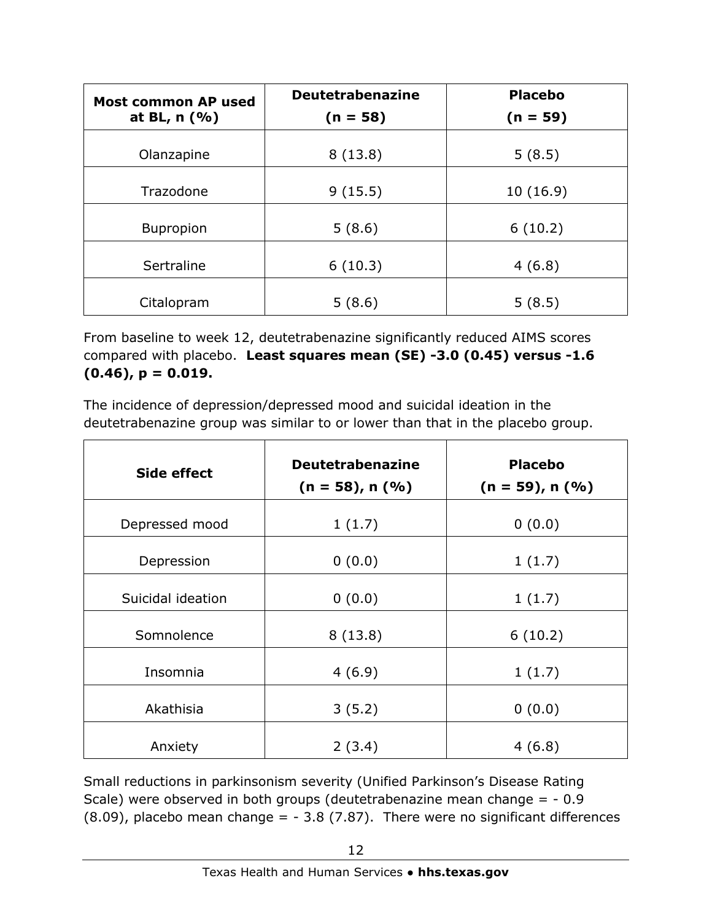| <b>Most common AP used</b> | <b>Deutetrabenazine</b> | <b>Placebo</b> |  |
|----------------------------|-------------------------|----------------|--|
| at BL, $n$ (%)             | $(n = 58)$              | $(n = 59)$     |  |
| Olanzapine                 | 8(13.8)                 | 5(8.5)         |  |
| Trazodone                  | 9(15.5)                 | 10(16.9)       |  |
| <b>Bupropion</b>           | 5(8.6)                  | 6(10.2)        |  |
| Sertraline                 | 6(10.3)                 | 4(6.8)         |  |
| Citalopram                 | 5(8.6)                  | 5(8.5)         |  |

From baseline to week 12, deutetrabenazine significantly reduced AIMS scores compared with placebo. **Least squares mean (SE) -3.0 (0.45) versus -1.6 (0.46), p = 0.019.** 

The incidence of depression/depressed mood and suicidal ideation in the deutetrabenazine group was similar to or lower than that in the placebo group.

| <b>Side effect</b> | <b>Deutetrabenazine</b><br>$(n = 58)$ , n $(%$ | <b>Placebo</b><br>$(n = 59)$ , n $(%$ |
|--------------------|------------------------------------------------|---------------------------------------|
| Depressed mood     | 1(1.7)                                         | 0(0.0)                                |
| Depression         | 0(0.0)                                         | 1(1.7)                                |
| Suicidal ideation  | 0(0.0)                                         | 1(1.7)                                |
| Somnolence         | 8(13.8)                                        | 6(10.2)                               |
| Insomnia           | 4(6.9)                                         | 1(1.7)                                |
| Akathisia          | 3(5.2)                                         | 0(0.0)                                |
| Anxiety            | 2(3.4)                                         | 4(6.8)                                |

Small reductions in parkinsonism severity (Unified Parkinson's Disease Rating Scale) were observed in both groups (deutetrabenazine mean change = - 0.9  $(8.09)$ , placebo mean change = - 3.8 (7.87). There were no significant differences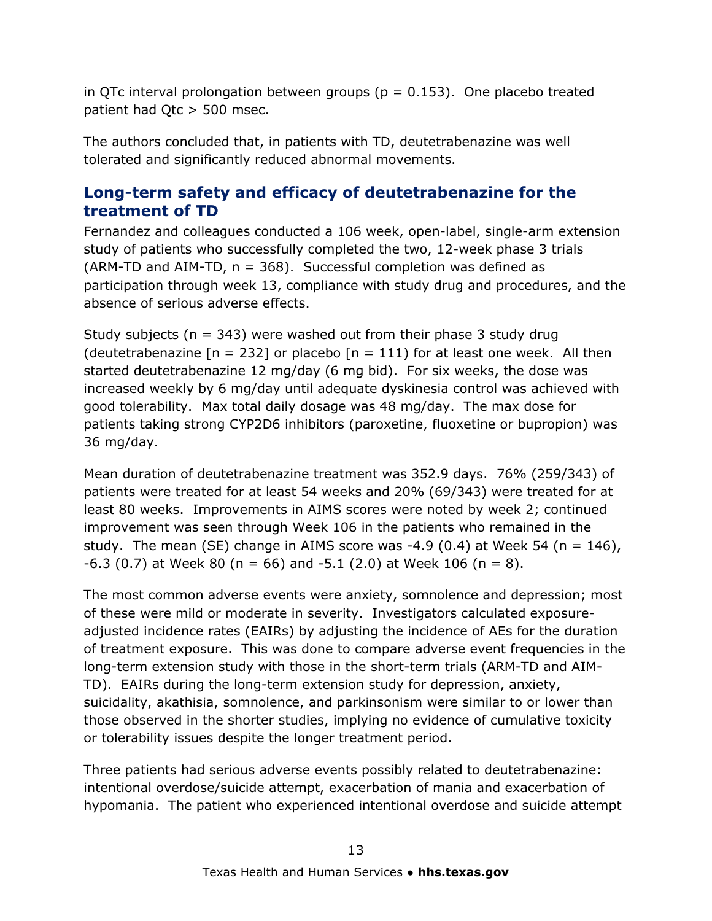in QTc interval prolongation between groups ( $p = 0.153$ ). One placebo treated patient had Qtc > 500 msec.

The authors concluded that, in patients with TD, deutetrabenazine was well tolerated and significantly reduced abnormal movements.

#### **Long-term safety and efficacy of deutetrabenazine for the treatment of TD**

Fernandez and colleagues conducted a 106 week, open-label, single-arm extension study of patients who successfully completed the two, 12-week phase 3 trials (ARM-TD and AIM-TD,  $n = 368$ ). Successful completion was defined as participation through week 13, compliance with study drug and procedures, and the absence of serious adverse effects.

Study subjects ( $n = 343$ ) were washed out from their phase 3 study drug (deutetrabenazine  $[n = 232]$  or placebo  $[n = 111)$  for at least one week. All then started deutetrabenazine 12 mg/day (6 mg bid). For six weeks, the dose was increased weekly by 6 mg/day until adequate dyskinesia control was achieved with good tolerability. Max total daily dosage was 48 mg/day. The max dose for patients taking strong CYP2D6 inhibitors (paroxetine, fluoxetine or bupropion) was 36 mg/day.

Mean duration of deutetrabenazine treatment was 352.9 days. 76% (259/343) of patients were treated for at least 54 weeks and 20% (69/343) were treated for at least 80 weeks. Improvements in AIMS scores were noted by week 2; continued improvement was seen through Week 106 in the patients who remained in the study. The mean (SE) change in AIMS score was  $-4.9$  (0.4) at Week 54 (n = 146),  $-6.3$  (0.7) at Week 80 (n = 66) and  $-5.1$  (2.0) at Week 106 (n = 8).

The most common adverse events were anxiety, somnolence and depression; most of these were mild or moderate in severity. Investigators calculated exposureadjusted incidence rates (EAIRs) by adjusting the incidence of AEs for the duration of treatment exposure. This was done to compare adverse event frequencies in the long-term extension study with those in the short-term trials (ARM-TD and AIM-TD). EAIRs during the long-term extension study for depression, anxiety, suicidality, akathisia, somnolence, and parkinsonism were similar to or lower than those observed in the shorter studies, implying no evidence of cumulative toxicity or tolerability issues despite the longer treatment period.

Three patients had serious adverse events possibly related to deutetrabenazine: intentional overdose/suicide attempt, exacerbation of mania and exacerbation of hypomania. The patient who experienced intentional overdose and suicide attempt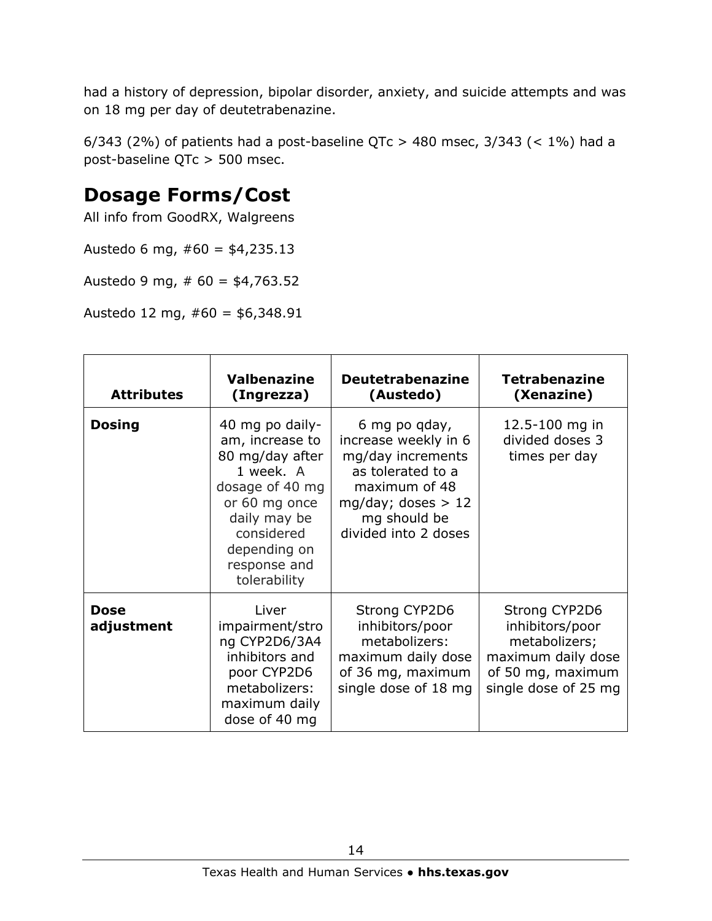had a history of depression, bipolar disorder, anxiety, and suicide attempts and was on 18 mg per day of deutetrabenazine.

6/343 (2%) of patients had a post-baseline QTc > 480 msec,  $3/343$  (<  $1\%$ ) had a post-baseline QTc > 500 msec.

### **Dosage Forms/Cost**

All info from GoodRX, Walgreens

Austedo 6 mg,  $#60 = $4,235.13$ 

Austedo 9 mg,  $# 60 = $4,763.52$ 

Austedo 12 mg,  $#60 = $6,348.91$ 

| <b>Attributes</b>         | <b>Valbenazine</b><br>(Ingrezza)                                                                                                                                                     | <b>Deutetrabenazine</b><br>(Austedo)                                                                                                                             | <b>Tetrabenazine</b><br>(Xenazine)                                                                                   |
|---------------------------|--------------------------------------------------------------------------------------------------------------------------------------------------------------------------------------|------------------------------------------------------------------------------------------------------------------------------------------------------------------|----------------------------------------------------------------------------------------------------------------------|
| <b>Dosing</b>             | 40 mg po daily-<br>am, increase to<br>80 mg/day after<br>1 week. A<br>dosage of 40 mg<br>or 60 mg once<br>daily may be<br>considered<br>depending on<br>response and<br>tolerability | 6 mg po gday,<br>increase weekly in 6<br>mg/day increments<br>as tolerated to a<br>maximum of 48<br>mg/day; doses $> 12$<br>mg should be<br>divided into 2 doses | 12.5-100 mg in<br>divided doses 3<br>times per day                                                                   |
| <b>Dose</b><br>adjustment | Liver<br>impairment/stro<br>ng CYP2D6/3A4<br>inhibitors and<br>poor CYP2D6<br>metabolizers:<br>maximum daily<br>dose of 40 mg                                                        | Strong CYP2D6<br>inhibitors/poor<br>metabolizers:<br>maximum daily dose<br>of 36 mg, maximum<br>single dose of 18 mg                                             | Strong CYP2D6<br>inhibitors/poor<br>metabolizers;<br>maximum daily dose<br>of 50 mg, maximum<br>single dose of 25 mg |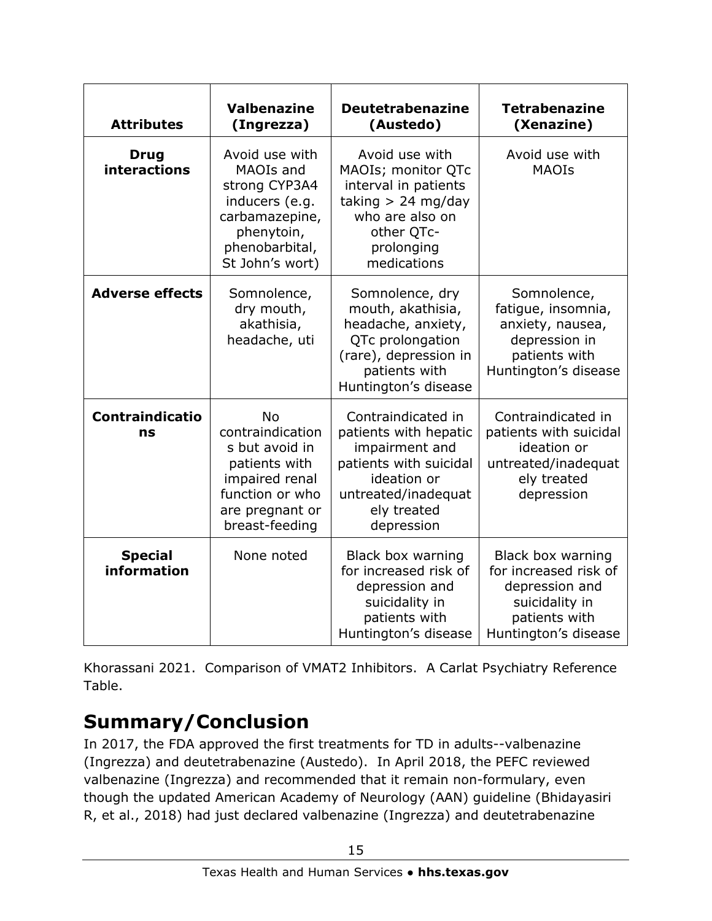| <b>Attributes</b>                  | <b>Valbenazine</b><br>(Ingrezza)                                                                                                           | <b>Deutetrabenazine</b><br>(Austedo)                                                                                                                       | <b>Tetrabenazine</b><br>(Xenazine)                                                                                      |
|------------------------------------|--------------------------------------------------------------------------------------------------------------------------------------------|------------------------------------------------------------------------------------------------------------------------------------------------------------|-------------------------------------------------------------------------------------------------------------------------|
| <b>Drug</b><br><b>interactions</b> | Avoid use with<br>MAOIs and<br>strong CYP3A4<br>inducers (e.g.<br>carbamazepine,<br>phenytoin,<br>phenobarbital,<br>St John's wort)        | Avoid use with<br>MAOIs; monitor QTc<br>interval in patients<br>taking $> 24$ mg/day<br>who are also on<br>other QTc-<br>prolonging<br>medications         | Avoid use with<br><b>MAOIs</b>                                                                                          |
| <b>Adverse effects</b>             | Somnolence,<br>dry mouth,<br>akathisia,<br>headache, uti                                                                                   | Somnolence, dry<br>mouth, akathisia,<br>headache, anxiety,<br>QTc prolongation<br>(rare), depression in<br>patients with<br>Huntington's disease           | Somnolence,<br>fatigue, insomnia,<br>anxiety, nausea,<br>depression in<br>patients with<br>Huntington's disease         |
| <b>Contraindicatio</b><br>ns       | <b>No</b><br>contraindication<br>s but avoid in<br>patients with<br>impaired renal<br>function or who<br>are pregnant or<br>breast-feeding | Contraindicated in<br>patients with hepatic<br>impairment and<br>patients with suicidal<br>ideation or<br>untreated/inadequat<br>ely treated<br>depression | Contraindicated in<br>patients with suicidal<br>ideation or<br>untreated/inadequat<br>ely treated<br>depression         |
| <b>Special</b><br>information      | None noted                                                                                                                                 | Black box warning<br>for increased risk of<br>depression and<br>suicidality in<br>patients with<br>Huntington's disease                                    | Black box warning<br>for increased risk of<br>depression and<br>suicidality in<br>patients with<br>Huntington's disease |

Khorassani 2021. Comparison of VMAT2 Inhibitors. A Carlat Psychiatry Reference Table.

### **Summary/Conclusion**

In 2017, the FDA approved the first treatments for TD in adults--valbenazine (Ingrezza) and deutetrabenazine (Austedo). In April 2018, the PEFC reviewed valbenazine (Ingrezza) and recommended that it remain non-formulary, even though the updated American Academy of Neurology (AAN) guideline (Bhidayasiri R, et al., 2018) had just declared valbenazine (Ingrezza) and deutetrabenazine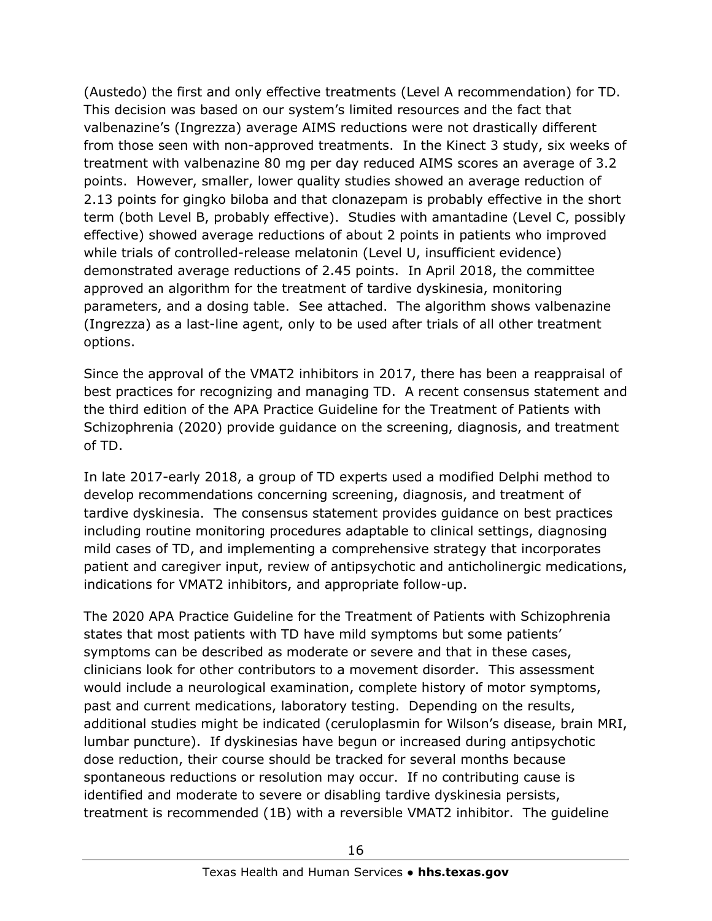(Austedo) the first and only effective treatments (Level A recommendation) for TD. This decision was based on our system's limited resources and the fact that valbenazine's (Ingrezza) average AIMS reductions were not drastically different from those seen with non-approved treatments. In the Kinect 3 study, six weeks of treatment with valbenazine 80 mg per day reduced AIMS scores an average of 3.2 points. However, smaller, lower quality studies showed an average reduction of 2.13 points for gingko biloba and that clonazepam is probably effective in the short term (both Level B, probably effective). Studies with amantadine (Level C, possibly effective) showed average reductions of about 2 points in patients who improved while trials of controlled-release melatonin (Level U, insufficient evidence) demonstrated average reductions of 2.45 points. In April 2018, the committee approved an algorithm for the treatment of tardive dyskinesia, monitoring parameters, and a dosing table. See attached. The algorithm shows valbenazine (Ingrezza) as a last-line agent, only to be used after trials of all other treatment options.

Since the approval of the VMAT2 inhibitors in 2017, there has been a reappraisal of best practices for recognizing and managing TD. A recent consensus statement and the third edition of the APA Practice Guideline for the Treatment of Patients with Schizophrenia (2020) provide guidance on the screening, diagnosis, and treatment of TD.

In late 2017-early 2018, a group of TD experts used a modified Delphi method to develop recommendations concerning screening, diagnosis, and treatment of tardive dyskinesia. The consensus statement provides guidance on best practices including routine monitoring procedures adaptable to clinical settings, diagnosing mild cases of TD, and implementing a comprehensive strategy that incorporates patient and caregiver input, review of antipsychotic and anticholinergic medications, indications for VMAT2 inhibitors, and appropriate follow-up.

The 2020 APA Practice Guideline for the Treatment of Patients with Schizophrenia states that most patients with TD have mild symptoms but some patients' symptoms can be described as moderate or severe and that in these cases, clinicians look for other contributors to a movement disorder. This assessment would include a neurological examination, complete history of motor symptoms, past and current medications, laboratory testing. Depending on the results, additional studies might be indicated (ceruloplasmin for Wilson's disease, brain MRI, lumbar puncture). If dyskinesias have begun or increased during antipsychotic dose reduction, their course should be tracked for several months because spontaneous reductions or resolution may occur. If no contributing cause is identified and moderate to severe or disabling tardive dyskinesia persists, treatment is recommended (1B) with a reversible VMAT2 inhibitor. The guideline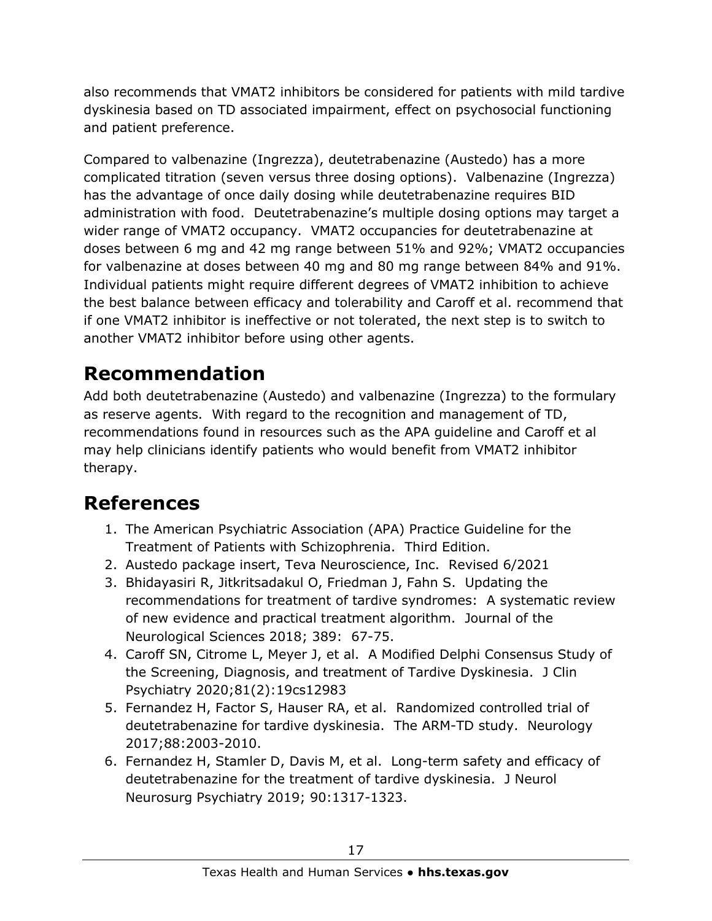also recommends that VMAT2 inhibitors be considered for patients with mild tardive dyskinesia based on TD associated impairment, effect on psychosocial functioning and patient preference.

Compared to valbenazine (Ingrezza), deutetrabenazine (Austedo) has a more complicated titration (seven versus three dosing options). Valbenazine (Ingrezza) has the advantage of once daily dosing while deutetrabenazine requires BID administration with food. Deutetrabenazine's multiple dosing options may target a wider range of VMAT2 occupancy. VMAT2 occupancies for deutetrabenazine at doses between 6 mg and 42 mg range between 51% and 92%; VMAT2 occupancies for valbenazine at doses between 40 mg and 80 mg range between 84% and 91%. Individual patients might require different degrees of VMAT2 inhibition to achieve the best balance between efficacy and tolerability and Caroff et al. recommend that if one VMAT2 inhibitor is ineffective or not tolerated, the next step is to switch to another VMAT2 inhibitor before using other agents.

## **Recommendation**

Add both deutetrabenazine (Austedo) and valbenazine (Ingrezza) to the formulary as reserve agents. With regard to the recognition and management of TD, recommendations found in resources such as the APA guideline and Caroff et al may help clinicians identify patients who would benefit from VMAT2 inhibitor therapy.

## **References**

- 1. The American Psychiatric Association (APA) Practice Guideline for the Treatment of Patients with Schizophrenia. Third Edition.
- 2. Austedo package insert, Teva Neuroscience, Inc. Revised 6/2021
- 3. Bhidayasiri R, Jitkritsadakul O, Friedman J, Fahn S. Updating the recommendations for treatment of tardive syndromes: A systematic review of new evidence and practical treatment algorithm. Journal of the Neurological Sciences 2018; 389: 67-75.
- 4. Caroff SN, Citrome L, Meyer J, et al. A Modified Delphi Consensus Study of the Screening, Diagnosis, and treatment of Tardive Dyskinesia. J Clin Psychiatry 2020;81(2):19cs12983
- 5. Fernandez H, Factor S, Hauser RA, et al. Randomized controlled trial of deutetrabenazine for tardive dyskinesia. The ARM-TD study. Neurology 2017;88:2003-2010.
- 6. Fernandez H, Stamler D, Davis M, et al. Long-term safety and efficacy of deutetrabenazine for the treatment of tardive dyskinesia. J Neurol Neurosurg Psychiatry 2019; 90:1317-1323.